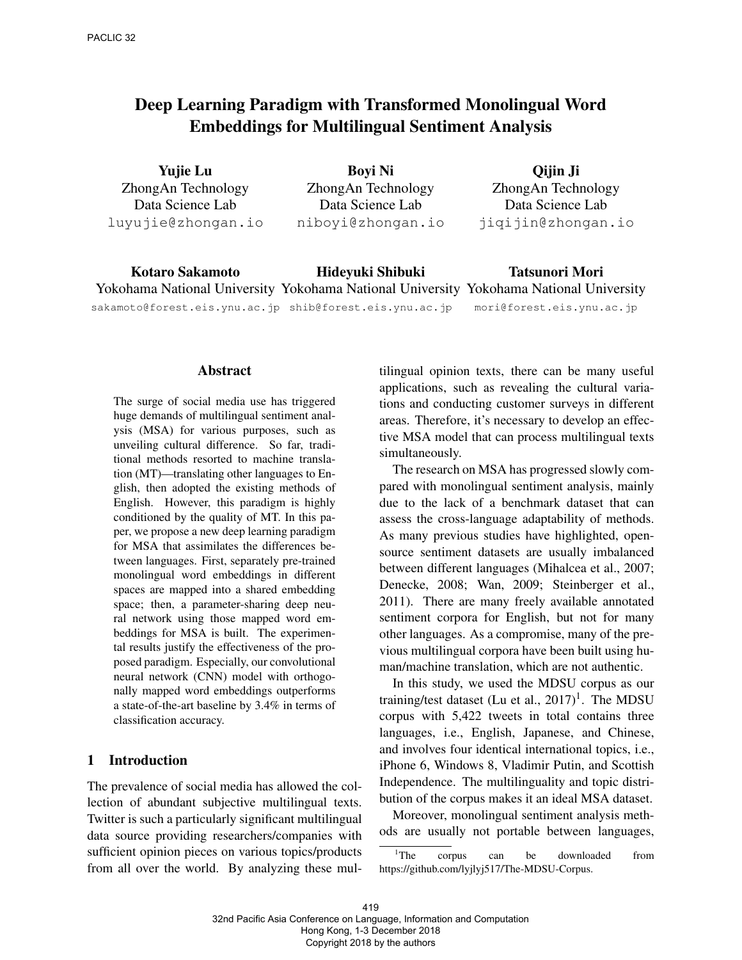# Deep Learning Paradigm with Transformed Monolingual Word Embeddings for Multilingual Sentiment Analysis

Yujie Lu ZhongAn Technology Data Science Lab luyujie@zhongan.io

Boyi Ni ZhongAn Technology Data Science Lab niboyi@zhongan.io

Qijin Ji ZhongAn Technology Data Science Lab jiqijin@zhongan.io

Kotaro Sakamoto Yokohama National University Yokohama National University Yokohama National University sakamoto@forest.eis.ynu.ac.jp shib@forest.eis.ynu.ac.jp Hideyuki Shibuki Tatsunori Mori mori@forest.eis.ynu.ac.jp

#### Abstract

The surge of social media use has triggered huge demands of multilingual sentiment analysis (MSA) for various purposes, such as unveiling cultural difference. So far, traditional methods resorted to machine translation (MT)—translating other languages to English, then adopted the existing methods of English. However, this paradigm is highly conditioned by the quality of MT. In this paper, we propose a new deep learning paradigm for MSA that assimilates the differences between languages. First, separately pre-trained monolingual word embeddings in different spaces are mapped into a shared embedding space; then, a parameter-sharing deep neural network using those mapped word embeddings for MSA is built. The experimental results justify the effectiveness of the proposed paradigm. Especially, our convolutional neural network (CNN) model with orthogonally mapped word embeddings outperforms a state-of-the-art baseline by 3.4% in terms of classification accuracy.

### 1 Introduction

The prevalence of social media has allowed the collection of abundant subjective multilingual texts. Twitter is such a particularly significant multilingual data source providing researchers/companies with sufficient opinion pieces on various topics/products from all over the world. By analyzing these multilingual opinion texts, there can be many useful applications, such as revealing the cultural variations and conducting customer surveys in different areas. Therefore, it's necessary to develop an effective MSA model that can process multilingual texts simultaneously.

The research on MSA has progressed slowly compared with monolingual sentiment analysis, mainly due to the lack of a benchmark dataset that can assess the cross-language adaptability of methods. As many previous studies have highlighted, opensource sentiment datasets are usually imbalanced between different languages (Mihalcea et al., 2007; Denecke, 2008; Wan, 2009; Steinberger et al., 2011). There are many freely available annotated sentiment corpora for English, but not for many other languages. As a compromise, many of the previous multilingual corpora have been built using human/machine translation, which are not authentic.

In this study, we used the MDSU corpus as our training/test dataset (Lu et al.,  $2017$ )<sup>1</sup>. The MDSU corpus with 5,422 tweets in total contains three languages, i.e., English, Japanese, and Chinese, and involves four identical international topics, i.e., iPhone 6, Windows 8, Vladimir Putin, and Scottish Independence. The multilinguality and topic distribution of the corpus makes it an ideal MSA dataset.

Moreover, monolingual sentiment analysis methods are usually not portable between languages,

<sup>&</sup>lt;sup>1</sup>The corpus can be downloaded from https://github.com/lyjlyj517/The-MDSU-Corpus.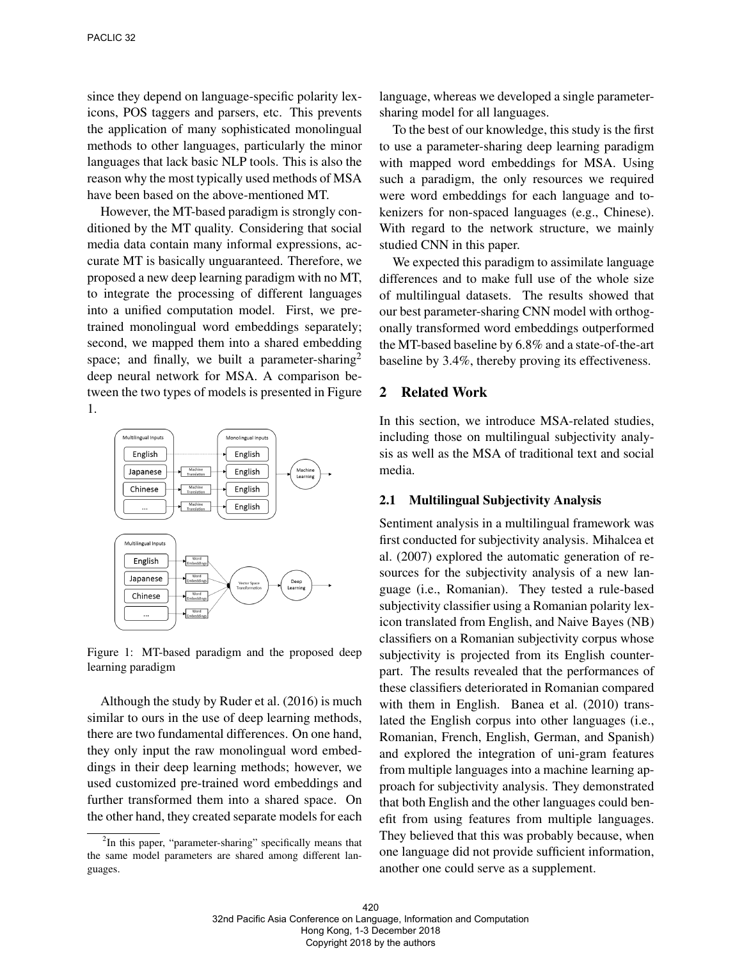since they depend on language-specific polarity lexicons, POS taggers and parsers, etc. This prevents the application of many sophisticated monolingual methods to other languages, particularly the minor languages that lack basic NLP tools. This is also the reason why the most typically used methods of MSA have been based on the above-mentioned MT.

However, the MT-based paradigm is strongly conditioned by the MT quality. Considering that social media data contain many informal expressions, accurate MT is basically unguaranteed. Therefore, we proposed a new deep learning paradigm with no MT, to integrate the processing of different languages into a unified computation model. First, we pretrained monolingual word embeddings separately; second, we mapped them into a shared embedding space; and finally, we built a parameter-sharing<sup>2</sup> deep neural network for MSA. A comparison between the two types of models is presented in Figure 1.



Figure 1: MT-based paradigm and the proposed deep learning paradigm

Although the study by Ruder et al. (2016) is much similar to ours in the use of deep learning methods, there are two fundamental differences. On one hand, they only input the raw monolingual word embeddings in their deep learning methods; however, we used customized pre-trained word embeddings and further transformed them into a shared space. On the other hand, they created separate models for each language, whereas we developed a single parametersharing model for all languages.

To the best of our knowledge, this study is the first to use a parameter-sharing deep learning paradigm with mapped word embeddings for MSA. Using such a paradigm, the only resources we required were word embeddings for each language and tokenizers for non-spaced languages (e.g., Chinese). With regard to the network structure, we mainly studied CNN in this paper.

We expected this paradigm to assimilate language differences and to make full use of the whole size of multilingual datasets. The results showed that our best parameter-sharing CNN model with orthogonally transformed word embeddings outperformed the MT-based baseline by 6.8% and a state-of-the-art baseline by 3.4%, thereby proving its effectiveness.

### 2 Related Work

In this section, we introduce MSA-related studies, including those on multilingual subjectivity analysis as well as the MSA of traditional text and social media.

### 2.1 Multilingual Subjectivity Analysis

Sentiment analysis in a multilingual framework was first conducted for subjectivity analysis. Mihalcea et al. (2007) explored the automatic generation of resources for the subjectivity analysis of a new language (i.e., Romanian). They tested a rule-based subjectivity classifier using a Romanian polarity lexicon translated from English, and Naive Bayes (NB) classifiers on a Romanian subjectivity corpus whose subjectivity is projected from its English counterpart. The results revealed that the performances of these classifiers deteriorated in Romanian compared with them in English. Banea et al. (2010) translated the English corpus into other languages (i.e., Romanian, French, English, German, and Spanish) and explored the integration of uni-gram features from multiple languages into a machine learning approach for subjectivity analysis. They demonstrated that both English and the other languages could benefit from using features from multiple languages. They believed that this was probably because, when one language did not provide sufficient information, another one could serve as a supplement.

<sup>&</sup>lt;sup>2</sup>In this paper, "parameter-sharing" specifically means that the same model parameters are shared among different languages.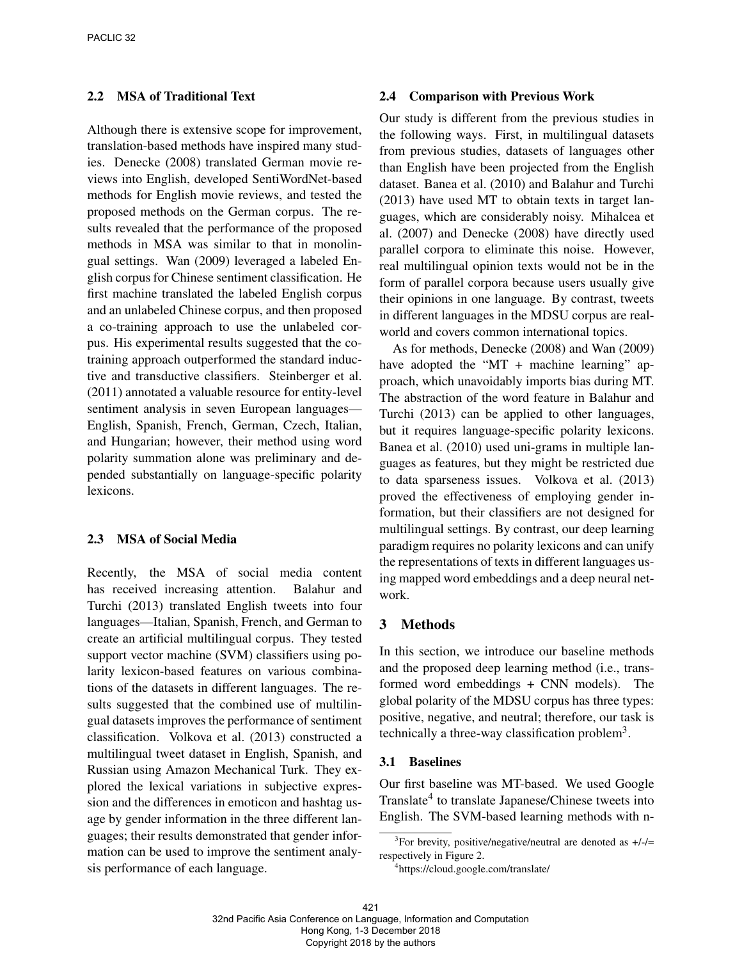### 2.2 MSA of Traditional Text

Although there is extensive scope for improvement, translation-based methods have inspired many studies. Denecke (2008) translated German movie reviews into English, developed SentiWordNet-based methods for English movie reviews, and tested the proposed methods on the German corpus. The results revealed that the performance of the proposed methods in MSA was similar to that in monolingual settings. Wan (2009) leveraged a labeled English corpus for Chinese sentiment classification. He first machine translated the labeled English corpus and an unlabeled Chinese corpus, and then proposed a co-training approach to use the unlabeled corpus. His experimental results suggested that the cotraining approach outperformed the standard inductive and transductive classifiers. Steinberger et al. (2011) annotated a valuable resource for entity-level sentiment analysis in seven European languages— English, Spanish, French, German, Czech, Italian, and Hungarian; however, their method using word polarity summation alone was preliminary and depended substantially on language-specific polarity lexicons.

### 2.3 MSA of Social Media

Recently, the MSA of social media content has received increasing attention. Balahur and Turchi (2013) translated English tweets into four languages—Italian, Spanish, French, and German to create an artificial multilingual corpus. They tested support vector machine (SVM) classifiers using polarity lexicon-based features on various combinations of the datasets in different languages. The results suggested that the combined use of multilingual datasets improves the performance of sentiment classification. Volkova et al. (2013) constructed a multilingual tweet dataset in English, Spanish, and Russian using Amazon Mechanical Turk. They explored the lexical variations in subjective expression and the differences in emoticon and hashtag usage by gender information in the three different languages; their results demonstrated that gender information can be used to improve the sentiment analysis performance of each language.

### 2.4 Comparison with Previous Work

Our study is different from the previous studies in the following ways. First, in multilingual datasets from previous studies, datasets of languages other than English have been projected from the English dataset. Banea et al. (2010) and Balahur and Turchi (2013) have used MT to obtain texts in target languages, which are considerably noisy. Mihalcea et al. (2007) and Denecke (2008) have directly used parallel corpora to eliminate this noise. However, real multilingual opinion texts would not be in the form of parallel corpora because users usually give their opinions in one language. By contrast, tweets in different languages in the MDSU corpus are realworld and covers common international topics.

As for methods, Denecke (2008) and Wan (2009) have adopted the "MT + machine learning" approach, which unavoidably imports bias during MT. The abstraction of the word feature in Balahur and Turchi (2013) can be applied to other languages, but it requires language-specific polarity lexicons. Banea et al. (2010) used uni-grams in multiple languages as features, but they might be restricted due to data sparseness issues. Volkova et al. (2013) proved the effectiveness of employing gender information, but their classifiers are not designed for multilingual settings. By contrast, our deep learning paradigm requires no polarity lexicons and can unify the representations of texts in different languages using mapped word embeddings and a deep neural network.

### 3 Methods

In this section, we introduce our baseline methods and the proposed deep learning method (i.e., transformed word embeddings + CNN models). The global polarity of the MDSU corpus has three types: positive, negative, and neutral; therefore, our task is technically a three-way classification problem<sup>3</sup>.

### 3.1 Baselines

Our first baseline was MT-based. We used Google Translate<sup>4</sup> to translate Japanese/Chinese tweets into English. The SVM-based learning methods with n-

<sup>&</sup>lt;sup>3</sup>For brevity, positive/negative/neutral are denoted as  $+/$ respectively in Figure 2.

<sup>4</sup> https://cloud.google.com/translate/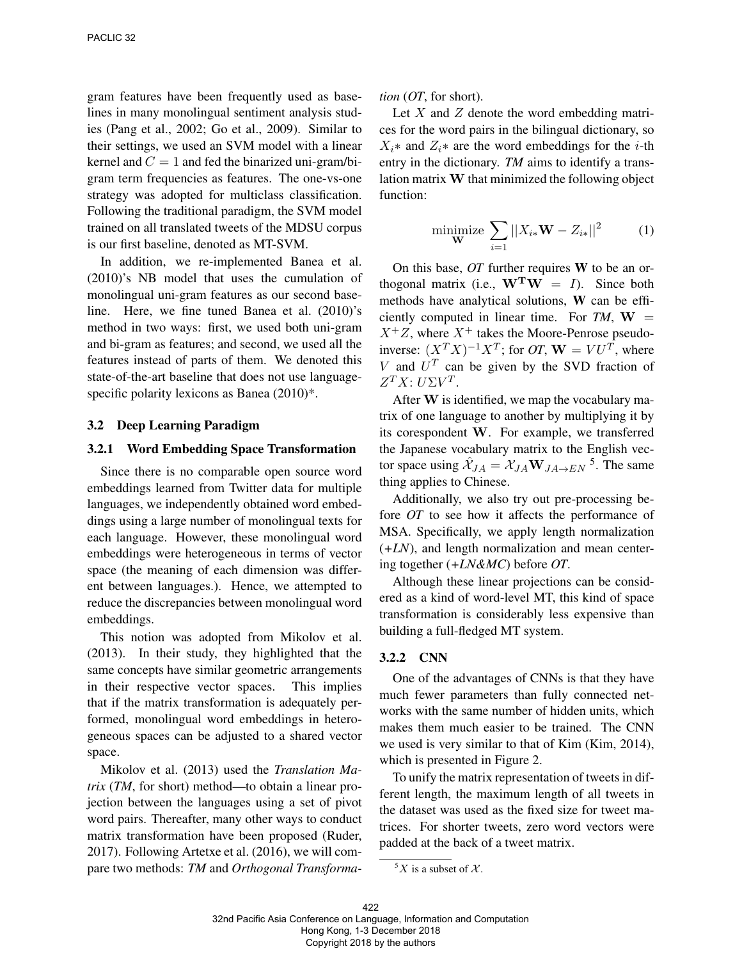gram features have been frequently used as baselines in many monolingual sentiment analysis studies (Pang et al., 2002; Go et al., 2009). Similar to their settings, we used an SVM model with a linear kernel and  $C = 1$  and fed the binarized uni-gram/bigram term frequencies as features. The one-vs-one strategy was adopted for multiclass classification. Following the traditional paradigm, the SVM model trained on all translated tweets of the MDSU corpus is our first baseline, denoted as MT-SVM.

In addition, we re-implemented Banea et al. (2010)'s NB model that uses the cumulation of monolingual uni-gram features as our second baseline. Here, we fine tuned Banea et al. (2010)'s method in two ways: first, we used both uni-gram and bi-gram as features; and second, we used all the features instead of parts of them. We denoted this state-of-the-art baseline that does not use languagespecific polarity lexicons as Banea  $(2010)^*$ .

### 3.2 Deep Learning Paradigm

#### 3.2.1 Word Embedding Space Transformation

Since there is no comparable open source word embeddings learned from Twitter data for multiple languages, we independently obtained word embeddings using a large number of monolingual texts for each language. However, these monolingual word embeddings were heterogeneous in terms of vector space (the meaning of each dimension was different between languages.). Hence, we attempted to reduce the discrepancies between monolingual word embeddings.

This notion was adopted from Mikolov et al. (2013). In their study, they highlighted that the same concepts have similar geometric arrangements in their respective vector spaces. This implies that if the matrix transformation is adequately performed, monolingual word embeddings in heterogeneous spaces can be adjusted to a shared vector space.

Mikolov et al. (2013) used the *Translation Matrix* (*TM*, for short) method—to obtain a linear projection between the languages using a set of pivot word pairs. Thereafter, many other ways to conduct matrix transformation have been proposed (Ruder, 2017). Following Artetxe et al. (2016), we will compare two methods: *TM* and *Orthogonal Transforma-* *tion* (*OT*, for short).

Let  $X$  and  $Z$  denote the word embedding matrices for the word pairs in the bilingual dictionary, so  $X_i^*$  and  $Z_i^*$  are the word embeddings for the *i*-th entry in the dictionary. *TM* aims to identify a translation matrix W that minimized the following object function:

minimize 
$$
\sum_{i=1} |X_{i*} \mathbf{W} - Z_{i*}|^2
$$
 (1)

On this base, *OT* further requires W to be an orthogonal matrix (i.e.,  $\mathbf{W}^{\mathbf{T}}\mathbf{W} = I$ ). Since both methods have analytical solutions, W can be efficiently computed in linear time. For  $TM$ ,  $W =$  $X^+Z$ , where  $X^+$  takes the Moore-Penrose pseudoinverse:  $(X^T X)^{-1} X^T$ ; for *OT*,  $W = V U^T$ , where V and  $U<sup>T</sup>$  can be given by the SVD fraction of  $Z^TX$ :  $U\Sigma V^T$ .

After W is identified, we map the vocabulary matrix of one language to another by multiplying it by its corespondent W. For example, we transferred the Japanese vocabulary matrix to the English vector space using  $\hat{\mathcal{X}}_{JA} = \mathcal{X}_{JA} \mathbf{W}_{JA \to EN}$ <sup>5</sup>. The same thing applies to Chinese.

Additionally, we also try out pre-processing before *OT* to see how it affects the performance of MSA. Specifically, we apply length normalization (*+LN*), and length normalization and mean centering together (*+LN&MC*) before *OT*.

Although these linear projections can be considered as a kind of word-level MT, this kind of space transformation is considerably less expensive than building a full-fledged MT system.

#### 3.2.2 CNN

One of the advantages of CNNs is that they have much fewer parameters than fully connected networks with the same number of hidden units, which makes them much easier to be trained. The CNN we used is very similar to that of Kim (Kim, 2014), which is presented in Figure 2.

To unify the matrix representation of tweets in different length, the maximum length of all tweets in the dataset was used as the fixed size for tweet matrices. For shorter tweets, zero word vectors were padded at the back of a tweet matrix.

 ${}^5X$  is a subset of  $X$ .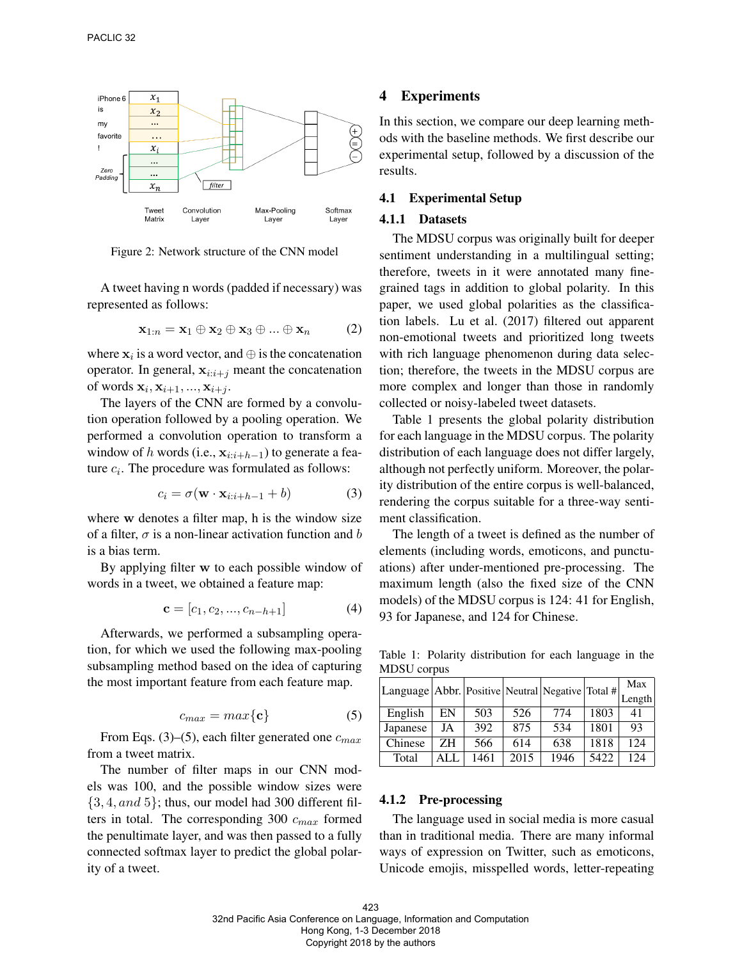

Figure 2: Network structure of the CNN model

A tweet having n words (padded if necessary) was represented as follows:

$$
\mathbf{x}_{1:n} = \mathbf{x}_1 \oplus \mathbf{x}_2 \oplus \mathbf{x}_3 \oplus \dots \oplus \mathbf{x}_n \qquad (2)
$$

where  $x_i$  is a word vector, and  $\oplus$  is the concatenation operator. In general,  $x_{i:i+j}$  meant the concatenation of words  $\mathbf{x}_i, \mathbf{x}_{i+1}, ..., \mathbf{x}_{i+j}$ .

The layers of the CNN are formed by a convolution operation followed by a pooling operation. We performed a convolution operation to transform a window of h words (i.e.,  $\mathbf{x}_{i:i+h-1}$ ) to generate a feature  $c_i$ . The procedure was formulated as follows:

$$
c_i = \sigma(\mathbf{w} \cdot \mathbf{x}_{i:i+h-1} + b)
$$
 (3)

where w denotes a filter map, h is the window size of a filter,  $\sigma$  is a non-linear activation function and b is a bias term.

By applying filter w to each possible window of words in a tweet, we obtained a feature map:

$$
\mathbf{c} = [c_1, c_2, ..., c_{n-h+1}] \tag{4}
$$

Afterwards, we performed a subsampling operation, for which we used the following max-pooling subsampling method based on the idea of capturing the most important feature from each feature map.

$$
c_{max} = max\{\mathbf{c}\}\tag{5}
$$

From Eqs. (3)–(5), each filter generated one  $c_{max}$ from a tweet matrix.

The number of filter maps in our CNN models was 100, and the possible window sizes were  $\{3, 4, and 5\}$ ; thus, our model had 300 different filters in total. The corresponding 300  $c_{max}$  formed the penultimate layer, and was then passed to a fully connected softmax layer to predict the global polarity of a tweet.

### 4 Experiments

In this section, we compare our deep learning methods with the baseline methods. We first describe our experimental setup, followed by a discussion of the results.

### 4.1 Experimental Setup

#### 4.1.1 Datasets

The MDSU corpus was originally built for deeper sentiment understanding in a multilingual setting; therefore, tweets in it were annotated many finegrained tags in addition to global polarity. In this paper, we used global polarities as the classification labels. Lu et al. (2017) filtered out apparent non-emotional tweets and prioritized long tweets with rich language phenomenon during data selection; therefore, the tweets in the MDSU corpus are more complex and longer than those in randomly collected or noisy-labeled tweet datasets.

Table 1 presents the global polarity distribution for each language in the MDSU corpus. The polarity distribution of each language does not differ largely, although not perfectly uniform. Moreover, the polarity distribution of the entire corpus is well-balanced, rendering the corpus suitable for a three-way sentiment classification.

The length of a tweet is defined as the number of elements (including words, emoticons, and punctuations) after under-mentioned pre-processing. The maximum length (also the fixed size of the CNN models) of the MDSU corpus is 124: 41 for English, 93 for Japanese, and 124 for Chinese.

Table 1: Polarity distribution for each language in the MDSU corpus

| Language   Abbr.   Positive   Neutral   Negative   Total # |     |      |      |      |      | Max    |
|------------------------------------------------------------|-----|------|------|------|------|--------|
|                                                            |     |      |      |      |      | Length |
| English                                                    | EN  | 503  | 526  | 774  | 1803 | 41     |
| Japanese                                                   | JA  | 392  | 875  | 534  | 1801 | 93     |
| Chinese                                                    | ZH. | 566  | 614  | 638  | 1818 | 124    |
| Total                                                      | ALL | 1461 | 2015 | 1946 | 5422 | 124    |

#### 4.1.2 Pre-processing

The language used in social media is more casual than in traditional media. There are many informal ways of expression on Twitter, such as emoticons, Unicode emojis, misspelled words, letter-repeating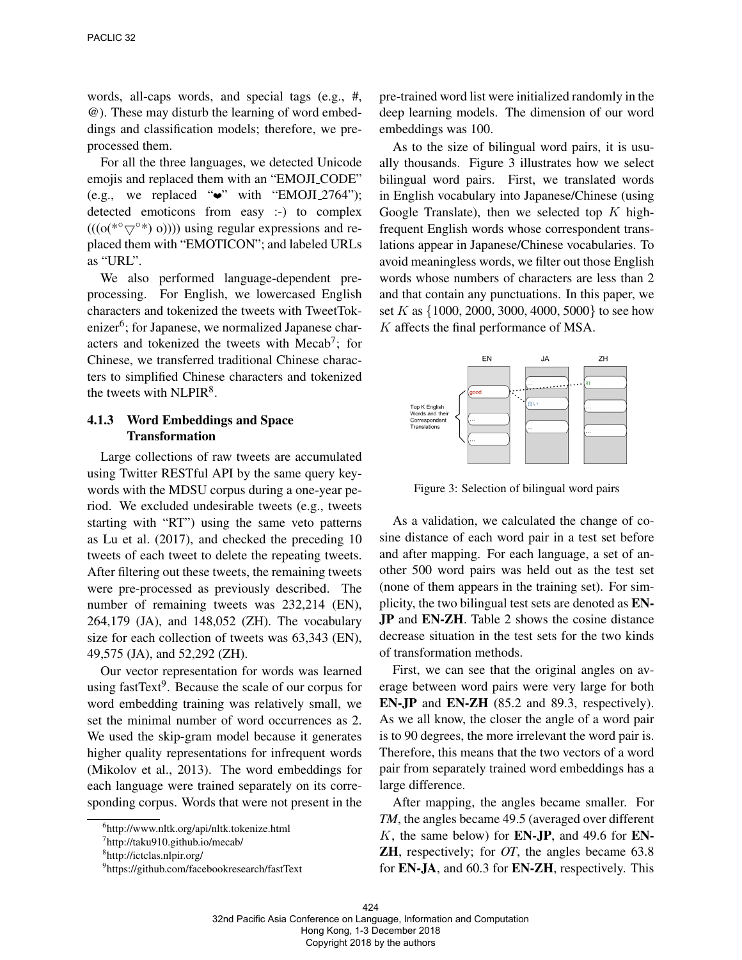words, all-caps words, and special tags (e.g., #, @). These may disturb the learning of word embeddings and classification models; therefore, we preprocessed them.

For all the three languages, we detected Unicode emojis and replaced them with an "EMOJI CODE" (e.g., we replaced " $\bullet$ " with "EMOJI\_2764"); detected emoticons from easy :-) to complex  $(((o(*\circ\bigtriangledown^{\circ*})\circ)))$  using regular expressions and replaced them with "EMOTICON"; and labeled URLs as "URL".

We also performed language-dependent preprocessing. For English, we lowercased English characters and tokenized the tweets with TweetTokenizer<sup>6</sup>; for Japanese, we normalized Japanese characters and tokenized the tweets with Mecab<sup>7</sup>; for Chinese, we transferred traditional Chinese characters to simplified Chinese characters and tokenized the tweets with  $NLPIR<sup>8</sup>$ .

### 4.1.3 Word Embeddings and Space Transformation

Large collections of raw tweets are accumulated using Twitter RESTful API by the same query keywords with the MDSU corpus during a one-year period. We excluded undesirable tweets (e.g., tweets starting with "RT") using the same veto patterns as Lu et al. (2017), and checked the preceding 10 tweets of each tweet to delete the repeating tweets. After filtering out these tweets, the remaining tweets were pre-processed as previously described. The number of remaining tweets was 232,214 (EN), 264,179 (JA), and 148,052 (ZH). The vocabulary size for each collection of tweets was 63,343 (EN), 49,575 (JA), and 52,292 (ZH).

Our vector representation for words was learned using fastText<sup>9</sup>. Because the scale of our corpus for word embedding training was relatively small, we set the minimal number of word occurrences as 2. We used the skip-gram model because it generates higher quality representations for infrequent words (Mikolov et al., 2013). The word embeddings for each language were trained separately on its corresponding corpus. Words that were not present in the

pre-trained word list were initialized randomly in the deep learning models. The dimension of our word embeddings was 100.

As to the size of bilingual word pairs, it is usually thousands. Figure 3 illustrates how we select bilingual word pairs. First, we translated words in English vocabulary into Japanese/Chinese (using Google Translate), then we selected top  $K$  highfrequent English words whose correspondent translations appear in Japanese/Chinese vocabularies. To avoid meaningless words, we filter out those English words whose numbers of characters are less than 2 and that contain any punctuations. In this paper, we set K as {1000, 2000, 3000, 4000, 5000} to see how K affects the final performance of MSA.



Figure 3: Selection of bilingual word pairs

As a validation, we calculated the change of cosine distance of each word pair in a test set before and after mapping. For each language, a set of another 500 word pairs was held out as the test set (none of them appears in the training set). For simplicity, the two bilingual test sets are denoted as EN-JP and EN-ZH. Table 2 shows the cosine distance decrease situation in the test sets for the two kinds of transformation methods.

First, we can see that the original angles on average between word pairs were very large for both EN-JP and EN-ZH (85.2 and 89.3, respectively). As we all know, the closer the angle of a word pair is to 90 degrees, the more irrelevant the word pair is. Therefore, this means that the two vectors of a word pair from separately trained word embeddings has a large difference.

After mapping, the angles became smaller. For *TM*, the angles became 49.5 (averaged over different  $K$ , the same below) for **EN-JP**, and 49.6 for **EN-**ZH, respectively; for *OT*, the angles became 63.8 for EN-JA, and 60.3 for EN-ZH, respectively. This

<sup>6</sup> http://www.nltk.org/api/nltk.tokenize.html

<sup>7</sup> http://taku910.github.io/mecab/

<sup>8</sup> http://ictclas.nlpir.org/

<sup>9</sup> https://github.com/facebookresearch/fastText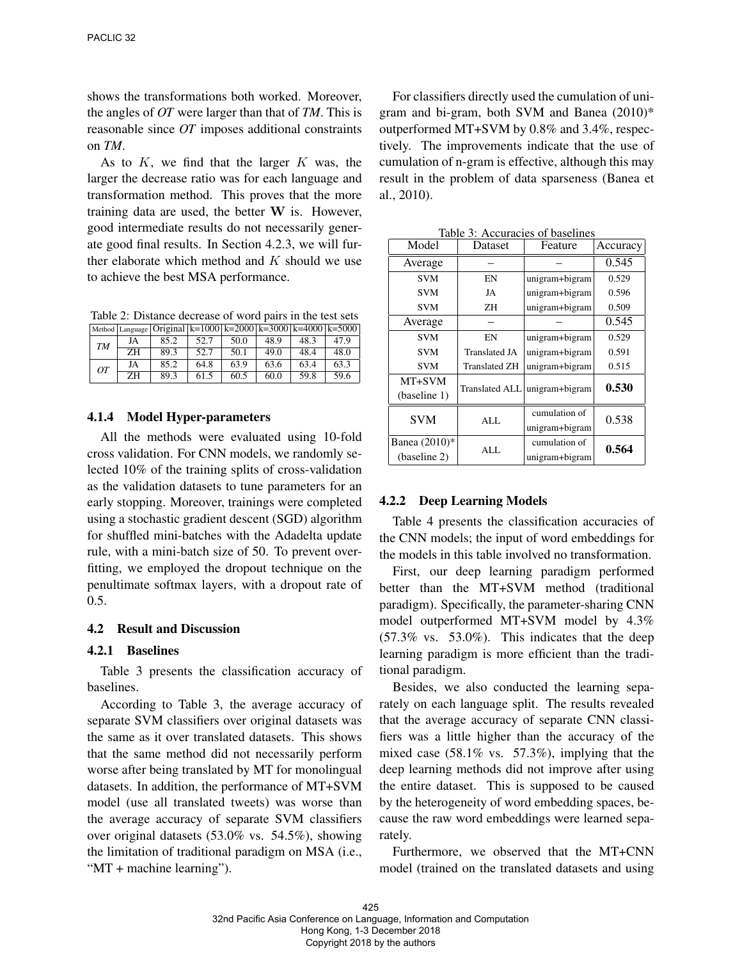shows the transformations both worked. Moreover, the angles of *OT* were larger than that of *TM*. This is reasonable since *OT* imposes additional constraints on *TM*.

As to  $K$ , we find that the larger  $K$  was, the larger the decrease ratio was for each language and transformation method. This proves that the more training data are used, the better W is. However, good intermediate results do not necessarily generate good final results. In Section 4.2.3, we will further elaborate which method and  $K$  should we use to achieve the best MSA performance.

Table 2: Distance decrease of word pairs in the test sets

|                 |    | Method Language   Original   k=1000   k=2000   k=3000 $\overline{k}$ =4000   k=5000 |      |      |      |      |      |
|-----------------|----|-------------------------------------------------------------------------------------|------|------|------|------|------|
| TM              | JA | 85.2                                                                                | 52.7 | 50.0 | 48.9 | 48.3 | 47.9 |
|                 | ΖH | 89.3                                                                                | 52.7 | 50.1 | 49 O | 48.4 | 48.O |
| $\overline{OT}$ | JA | 85.2                                                                                | 64.8 | 63.9 | 63.6 | 63.4 | 63.3 |
|                 | ΖH | 89.3                                                                                | 61.5 | 60.5 | 60.0 | 59.8 | 59.6 |

#### 4.1.4 Model Hyper-parameters

All the methods were evaluated using 10-fold cross validation. For CNN models, we randomly selected 10% of the training splits of cross-validation as the validation datasets to tune parameters for an early stopping. Moreover, trainings were completed using a stochastic gradient descent (SGD) algorithm for shuffled mini-batches with the Adadelta update rule, with a mini-batch size of 50. To prevent overfitting, we employed the dropout technique on the penultimate softmax layers, with a dropout rate of 0.5.

#### 4.2 Result and Discussion

#### 4.2.1 Baselines

Table 3 presents the classification accuracy of baselines.

According to Table 3, the average accuracy of separate SVM classifiers over original datasets was the same as it over translated datasets. This shows that the same method did not necessarily perform worse after being translated by MT for monolingual datasets. In addition, the performance of MT+SVM model (use all translated tweets) was worse than the average accuracy of separate SVM classifiers over original datasets (53.0% vs. 54.5%), showing the limitation of traditional paradigm on MSA (i.e., "MT + machine learning").

For classifiers directly used the cumulation of unigram and bi-gram, both SVM and Banea (2010)\* outperformed MT+SVM by 0.8% and 3.4%, respectively. The improvements indicate that the use of cumulation of n-gram is effective, although this may result in the problem of data sparseness (Banea et al., 2010).

| Model                         | Dataset              | Feature                         | Accuracy |  |
|-------------------------------|----------------------|---------------------------------|----------|--|
| Average                       |                      |                                 | 0.545    |  |
| <b>SVM</b>                    | EN                   | unigram+bigram                  | 0.529    |  |
| <b>SVM</b>                    | JA                   | unigram+bigram                  | 0.596    |  |
| <b>SVM</b>                    | ZΗ                   | unigram+bigram                  | 0.509    |  |
| Average                       |                      |                                 | 0.545    |  |
| <b>SVM</b>                    | EN                   | unigram+bigram                  | 0.529    |  |
| <b>SVM</b>                    | <b>Translated JA</b> | unigram+bigram                  | 0.591    |  |
| <b>SVM</b>                    | <b>Translated ZH</b> | unigram+bigram                  | 0.515    |  |
| MT+SVM<br>(baseline 1)        |                      | Translated ALL unigram+bigram   | 0.530    |  |
| <b>SVM</b>                    | ALL.                 | cumulation of<br>unigram+bigram | 0.538    |  |
| Banea (2010)*<br>(baseline 2) | <b>ALL</b>           | cumulation of<br>unigram+bigram | 0.564    |  |

Table 3: Accuracies of baselines

#### 4.2.2 Deep Learning Models

Table 4 presents the classification accuracies of the CNN models; the input of word embeddings for the models in this table involved no transformation.

First, our deep learning paradigm performed better than the MT+SVM method (traditional paradigm). Specifically, the parameter-sharing CNN model outperformed MT+SVM model by 4.3%  $(57.3\% \text{ vs. } 53.0\%).$  This indicates that the deep learning paradigm is more efficient than the traditional paradigm.

Besides, we also conducted the learning separately on each language split. The results revealed that the average accuracy of separate CNN classifiers was a little higher than the accuracy of the mixed case (58.1% vs. 57.3%), implying that the deep learning methods did not improve after using the entire dataset. This is supposed to be caused by the heterogeneity of word embedding spaces, because the raw word embeddings were learned separately.

Furthermore, we observed that the MT+CNN model (trained on the translated datasets and using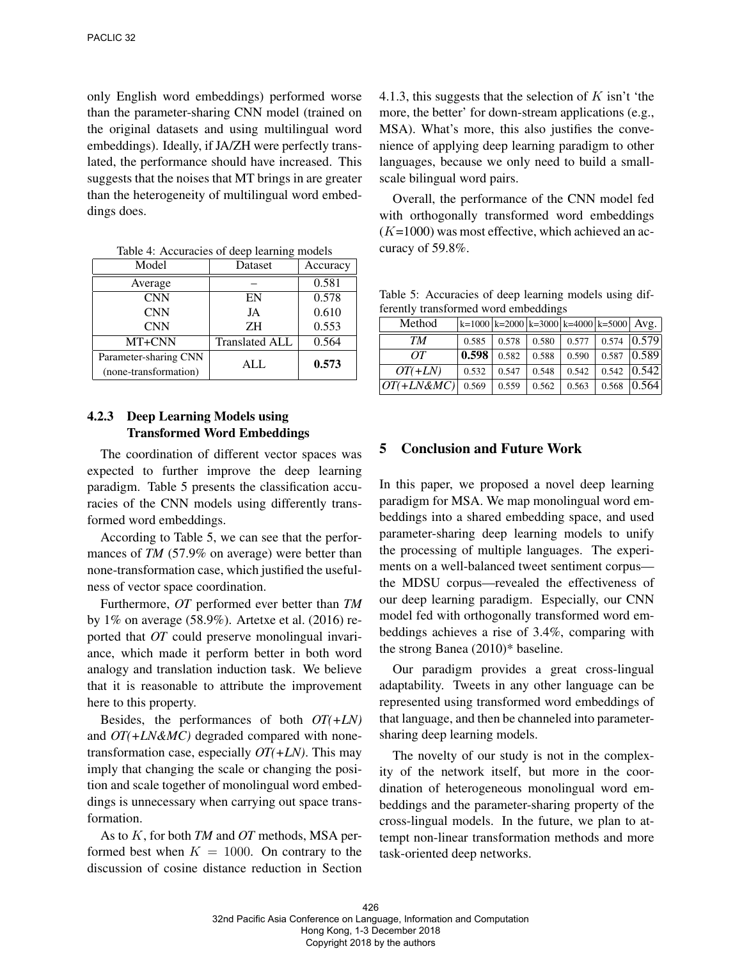only English word embeddings) performed worse than the parameter-sharing CNN model (trained on the original datasets and using multilingual word embeddings). Ideally, if JA/ZH were perfectly translated, the performance should have increased. This suggests that the noises that MT brings in are greater than the heterogeneity of multilingual word embeddings does.

| Model                                          | Dataset               | Accuracy |  |
|------------------------------------------------|-----------------------|----------|--|
| Average                                        |                       | 0.581    |  |
| <b>CNN</b>                                     | EN                    | 0.578    |  |
| <b>CNN</b>                                     | JA                    | 0.610    |  |
| <b>CNN</b>                                     | ΖH                    | 0.553    |  |
| MT+CNN                                         | <b>Translated ALL</b> | 0.564    |  |
| Parameter-sharing CNN<br>(none-transformation) | AI.                   | 0.573    |  |

Table 4: Accuracies of deep learning models

## 4.2.3 Deep Learning Models using Transformed Word Embeddings

The coordination of different vector spaces was expected to further improve the deep learning paradigm. Table 5 presents the classification accuracies of the CNN models using differently transformed word embeddings.

According to Table 5, we can see that the performances of *TM* (57.9% on average) were better than none-transformation case, which justified the usefulness of vector space coordination.

Furthermore, *OT* performed ever better than *TM* by 1% on average (58.9%). Artetxe et al. (2016) reported that *OT* could preserve monolingual invariance, which made it perform better in both word analogy and translation induction task. We believe that it is reasonable to attribute the improvement here to this property.

Besides, the performances of both *OT(+LN)* and *OT(+LN&MC)* degraded compared with nonetransformation case, especially *OT(+LN)*. This may imply that changing the scale or changing the position and scale together of monolingual word embeddings is unnecessary when carrying out space transformation.

As to K, for both *TM* and *OT* methods, MSA performed best when  $K = 1000$ . On contrary to the discussion of cosine distance reduction in Section

4.1.3, this suggests that the selection of  $K$  isn't 'the more, the better' for down-stream applications (e.g., MSA). What's more, this also justifies the convenience of applying deep learning paradigm to other languages, because we only need to build a smallscale bilingual word pairs.

Overall, the performance of the CNN model fed with orthogonally transformed word embeddings  $(K=1000)$  was most effective, which achieved an accuracy of 59.8%.

Table 5: Accuracies of deep learning models using differently transformed word embeddings

| Method        | $ k=1000 k=2000 k=3000 k=4000 k=5000 Avg.$ |       |       |       |       |       |
|---------------|--------------------------------------------|-------|-------|-------|-------|-------|
| TМ            | 0.585                                      | 0.578 | 0.580 | 0.577 | 0.574 | 0.579 |
| OТ            | 0.598                                      | 0.582 | 0.588 | 0.590 | 0.587 | 0.589 |
| $OT(+LN)$     | 0.532                                      | 0.547 | 0.548 | 0.542 | 0.542 | 0.542 |
| $OT(+LN\&MC)$ | 0.569                                      | 0.559 | 0.562 | 0.563 | 0.568 | 0.564 |

### 5 Conclusion and Future Work

In this paper, we proposed a novel deep learning paradigm for MSA. We map monolingual word embeddings into a shared embedding space, and used parameter-sharing deep learning models to unify the processing of multiple languages. The experiments on a well-balanced tweet sentiment corpus the MDSU corpus—revealed the effectiveness of our deep learning paradigm. Especially, our CNN model fed with orthogonally transformed word embeddings achieves a rise of 3.4%, comparing with the strong Banea (2010)\* baseline.

Our paradigm provides a great cross-lingual adaptability. Tweets in any other language can be represented using transformed word embeddings of that language, and then be channeled into parametersharing deep learning models.

The novelty of our study is not in the complexity of the network itself, but more in the coordination of heterogeneous monolingual word embeddings and the parameter-sharing property of the cross-lingual models. In the future, we plan to attempt non-linear transformation methods and more task-oriented deep networks.